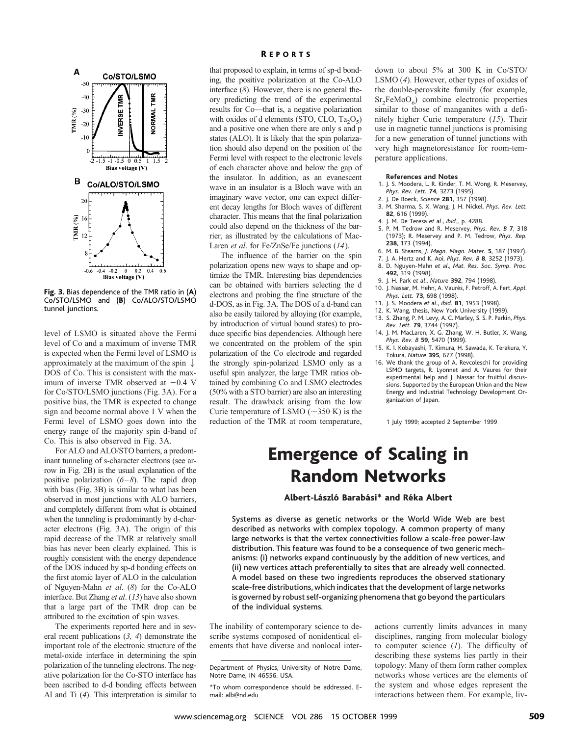

**Fig. 3.** Bias dependence of the TMR ratio in (**A**) Co/STO/LSMO and (**B**) Co/ALO/STO/LSMO tunnel junctions.

level of LSMO is situated above the Fermi level of Co and a maximum of inverse TMR is expected when the Fermi level of LSMO is approximately at the maximum of the spin  $\downarrow$ DOS of Co. This is consistent with the maximum of inverse TMR observed at  $-0.4$  V for Co/STO/LSMO junctions (Fig. 3A). For a positive bias, the TMR is expected to change sign and become normal above 1 V when the Fermi level of LSMO goes down into the energy range of the majority spin d-band of Co. This is also observed in Fig. 3A.

For ALO and ALO/STO barriers, a predominant tunneling of s-character electrons (see arrow in Fig. 2B) is the usual explanation of the positive polarization (*6–8*). The rapid drop with bias (Fig. 3B) is similar to what has been observed in most junctions with ALO barriers, and completely different from what is obtained when the tunneling is predominantly by d-character electrons (Fig. 3A). The origin of this rapid decrease of the TMR at relatively small bias has never been clearly explained. This is roughly consistent with the energy dependence of the DOS induced by sp-d bonding effects on the first atomic layer of ALO in the calculation of Nguyen-Mahn *et al*. (*8*) for the Co-ALO interface. But Zhang *et al*. (*13*) have also shown that a large part of the TMR drop can be attributed to the excitation of spin waves.

The experiments reported here and in several recent publications (*3, 4*) demonstrate the important role of the electronic structure of the metal-oxide interface in determining the spin polarization of the tunneling electrons. The negative polarization for the Co-STO interface has been ascribed to d-d bonding effects between Al and Ti (*4*). This interpretation is similar to

### **REPORTS**

that proposed to explain, in terms of sp-d bonding, the positive polarization at the Co-ALO interface (*8*). However, there is no general theory predicting the trend of the experimental results for Co—that is, a negative polarization with oxides of d elements (STO, CLO,  $Ta_2O_5$ ) and a positive one when there are only s and p states (ALO). It is likely that the spin polarization should also depend on the position of the Fermi level with respect to the electronic levels of each character above and below the gap of the insulator. In addition, as an evanescent wave in an insulator is a Bloch wave with an imaginary wave vector, one can expect different decay lengths for Bloch waves of different character. This means that the final polarization could also depend on the thickness of the barrier, as illustrated by the calculations of Mac-Laren *et al*. for Fe/ZnSe/Fe junctions (*14*).

The influence of the barrier on the spin polarization opens new ways to shape and optimize the TMR. Interesting bias dependencies can be obtained with barriers selecting the d electrons and probing the fine structure of the d-DOS, as in Fig. 3A. The DOS of a d-band can also be easily tailored by alloying (for example, by introduction of virtual bound states) to produce specific bias dependencies. Although here we concentrated on the problem of the spin polarization of the Co electrode and regarded the strongly spin-polarized LSMO only as a useful spin analyzer, the large TMR ratios obtained by combining Co and LSMO electrodes (50% with a STO barrier) are also an interesting result. The drawback arising from the low Curie temperature of LSMO ( $\sim$ 350 K) is the reduction of the TMR at room temperature,

down to about 5% at 300 K in Co/STO/ LSMO (*4*). However, other types of oxides of the double-perovskite family (for example,  $Sr<sub>2</sub>FeMoO<sub>6</sub>$ ) combine electronic properties similar to those of manganites with a definitely higher Curie temperature (*15*). Their use in magnetic tunnel junctions is promising for a new generation of tunnel junctions with very high magnetoresistance for room-temperature applications.

#### **References and Notes**

- 1. J. S. Moodera, L. R. Kinder, T. M. Wong, R. Meservey, *Phys. Rev. Lett.* **74**, 3273 (1995).
- 2. J. De Boeck, *Science* **281**, 357 (1998).
- 3. M. Sharma, S. X. Wang, J. H. Nickel, *Phys. Rev. Lett.* **82**, 616 (1999).
- 4. J. M. De Teresa *et al*., *ibid.,* p. 4288.
- 5. P. M. Tedrow and R. Meservey, *Phys. Rev. B* **7**, 318 (1973); R. Meservey and P. M. Tedrow, *Phys. Rep.* **238**, 173 (1994).
- 6. M. B. Stearns, *J. Magn. Magn. Mater.* **5**, 187 (1997).
- 7. J. A. Hertz and K. Aoi, *Phys. Rev. B* **8**, 3252 (1973). 8. D. Nguyen-Mahn *et al*., *Mat. Res. Soc. Symp. Proc.* **492**, 319 (1998).
- 9. J. H. Park *et al*., *Nature* **392**, 794 (1998).
- 10. J. Nassar, M. Hehn, A. Vaurès, F. Petroff, A. Fert, Appl. *Phys. Lett.* **73**, 698 (1998).
- 11. J. S. Moodera *et al*., *ibid.* **81**, 1953 (1998).
- 12. K. Wang, thesis, New York University (1999)
- 13. S. Zhang, P. M. Levy, A. C. Marley, S. S. P. Parkin, *Phys.*
- *Rev. Lett.* **79**, 3744 (1997). 14. J. M. MacLaren, X. G. Zhang, W. H. Butler, X. Wang, *Phys. Rev. B* **59**, 5470 (1999).
- 15. K. I. Kobayashi, T. Kimura, H. Sawada, K. Terakura, Y. Tokura, *Nature* **395**, 677 (1998).
- 16. We thank the group of A. Revcoleschi for providing LSMO targets, R. Lyonnet and A. Vaures for their experimental help and J. Nassar for fruitful discussions. Supported by the European Union and the New Energy and Industrial Technology Development Organization of Japan.

1 July 1999; accepted 2 September 1999

# Emergence of Scaling in Random Networks

### Albert-László Barabási\* and Réka Albert

Systems as diverse as genetic networks or the World Wide Web are best described as networks with complex topology. A common property of many large networks is that the vertex connectivities follow a scale-free power-law distribution. This feature was found to be a consequence of two generic mechanisms: (i) networks expand continuously by the addition of new vertices, and (ii) new vertices attach preferentially to sites that are already well connected. A model based on these two ingredients reproduces the observed stationary scale-free distributions, which indicates that the development of large networks is governed by robust self-organizing phenomena that go beyond the particulars of the individual systems.

The inability of contemporary science to describe systems composed of nonidentical elements that have diverse and nonlocal inter-

actions currently limits advances in many disciplines, ranging from molecular biology to computer science (*1*). The difficulty of describing these systems lies partly in their topology: Many of them form rather complex networks whose vertices are the elements of the system and whose edges represent the interactions between them. For example, liv-

Department of Physics, University of Notre Dame, Notre Dame, IN 46556, USA.

<sup>\*</sup>To whom correspondence should be addressed. Email: alb@nd.edu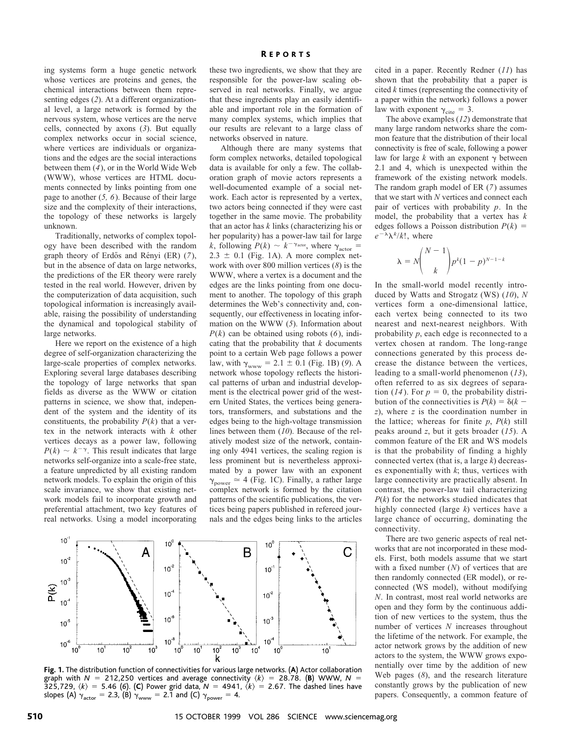ing systems form a huge genetic network whose vertices are proteins and genes, the chemical interactions between them representing edges (*2*). At a different organizational level, a large network is formed by the nervous system, whose vertices are the nerve cells, connected by axons (*3*). But equally complex networks occur in social science, where vertices are individuals or organizations and the edges are the social interactions between them (*4*), or in the World Wide Web (WWW), whose vertices are HTML documents connected by links pointing from one page to another (*5, 6*). Because of their large size and the complexity of their interactions, the topology of these networks is largely unknown.

Traditionally, networks of complex topology have been described with the random graph theory of Erdős and Rényi (ER) (7), but in the absence of data on large networks, the predictions of the ER theory were rarely tested in the real world. However, driven by the computerization of data acquisition, such topological information is increasingly available, raising the possibility of understanding the dynamical and topological stability of large networks.

Here we report on the existence of a high degree of self-organization characterizing the large-scale properties of complex networks. Exploring several large databases describing the topology of large networks that span fields as diverse as the WWW or citation patterns in science, we show that, independent of the system and the identity of its constituents, the probability  $P(k)$  that a vertex in the network interacts with *k* other vertices decays as a power law, following  $P(k) \sim k^{-\gamma}$ . This result indicates that large networks self-organize into a scale-free state, a feature unpredicted by all existing random network models. To explain the origin of this scale invariance, we show that existing network models fail to incorporate growth and preferential attachment, two key features of real networks. Using a model incorporating these two ingredients, we show that they are responsible for the power-law scaling observed in real networks. Finally, we argue that these ingredients play an easily identifiable and important role in the formation of many complex systems, which implies that our results are relevant to a large class of networks observed in nature.

Although there are many systems that form complex networks, detailed topological data is available for only a few. The collaboration graph of movie actors represents a well-documented example of a social network. Each actor is represented by a vertex, two actors being connected if they were cast together in the same movie. The probability that an actor has *k* links (characterizing his or her popularity) has a power-law tail for large *k*, following  $P(k) \sim k^{-\gamma_{\text{actor}}}$ , where  $\gamma_{\text{actor}} =$  $2.3 \pm 0.1$  (Fig. 1A). A more complex network with over 800 million vertices (*8*) is the WWW, where a vertex is a document and the edges are the links pointing from one document to another. The topology of this graph determines the Web's connectivity and, consequently, our effectiveness in locating information on the WWW (*5*). Information about  $P(k)$  can be obtained using robots (6), indicating that the probability that *k* documents point to a certain Web page follows a power law, with  $\gamma_{\text{www}} = 2.1 \pm 0.1$  (Fig. 1B) (9). A network whose topology reflects the historical patterns of urban and industrial development is the electrical power grid of the western United States, the vertices being generators, transformers, and substations and the edges being to the high-voltage transmission lines between them (*10*). Because of the relatively modest size of the network, containing only 4941 vertices, the scaling region is less prominent but is nevertheless approximated by a power law with an exponent  $\gamma_{\text{power}} \simeq 4$  (Fig. 1C). Finally, a rather large complex network is formed by the citation patterns of the scientific publications, the vertices being papers published in refereed journals and the edges being links to the articles



**Fig. 1.** The distribution function of connectivities for various large networks. (**A**) Actor collaboration graph with  $N = 212,250$  vertices and average connectivity  $\langle k \rangle = 28.78$ . (**B**) WWW,  $N =$ 325,729,  $\langle k \rangle$  = 5.46 (6). (C) Power grid data,  $N = 4941, \langle k \rangle = 2.67$ . The dashed lines have slopes (A)  $\gamma_{\text{actor}} = 2.3$ , (B)  $\gamma_{\text{www}} = 2.1$  and (C)  $\gamma_{\text{power}} = 4$ .

cited in a paper. Recently Redner (*11*) has shown that the probability that a paper is cited *k* times (representing the connectivity of a paper within the network) follows a power law with exponent  $\gamma_{\text{cite}} = 3$ .

The above examples (*12*) demonstrate that many large random networks share the common feature that the distribution of their local connectivity is free of scale, following a power law for large  $k$  with an exponent  $\gamma$  between 2.1 and 4, which is unexpected within the framework of the existing network models. The random graph model of ER (*7*) assumes that we start with *N* vertices and connect each pair of vertices with probability *p*. In the model, the probability that a vertex has *k* edges follows a Poisson distribution  $P(k)$  =  $e^{-\lambda} \lambda^k / k!$ , where

$$
\lambda = N \binom{N-1}{k} p^k (1-p)^{N-1-k}
$$

In the small-world model recently introduced by Watts and Strogatz (WS) (*10*), *N* vertices form a one-dimensional lattice, each vertex being connected to its two nearest and next-nearest neighbors. With probability *p*, each edge is reconnected to a vertex chosen at random. The long-range connections generated by this process decrease the distance between the vertices, leading to a small-world phenomenon (*13*), often referred to as six degrees of separation (14). For  $p = 0$ , the probability distribution of the connectivities is  $P(k) = \delta(k$ *z*), where *z* is the coordination number in the lattice; whereas for finite *p*, *P*(*k*) still peaks around *z*, but it gets broader (*15*). A common feature of the ER and WS models is that the probability of finding a highly connected vertex (that is, a large *k*) decreases exponentially with *k*; thus, vertices with large connectivity are practically absent. In contrast, the power-law tail characterizing *P*(*k*) for the networks studied indicates that highly connected (large *k*) vertices have a large chance of occurring, dominating the connectivity.

There are two generic aspects of real networks that are not incorporated in these models. First, both models assume that we start with a fixed number (*N*) of vertices that are then randomly connected (ER model), or reconnected (WS model), without modifying *N*. In contrast, most real world networks are open and they form by the continuous addition of new vertices to the system, thus the number of vertices *N* increases throughout the lifetime of the network. For example, the actor network grows by the addition of new actors to the system, the WWW grows exponentially over time by the addition of new Web pages (*8*), and the research literature constantly grows by the publication of new papers. Consequently, a common feature of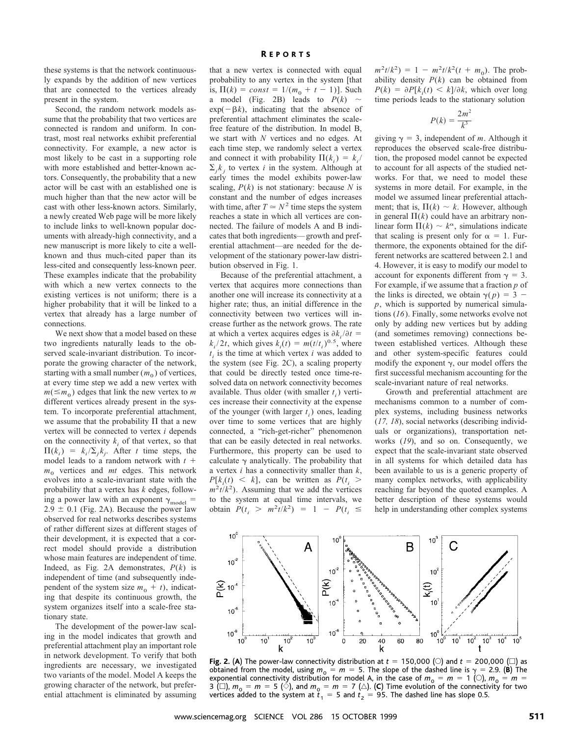these systems is that the network continuously expands by the addition of new vertices that are connected to the vertices already present in the system.

Second, the random network models assume that the probability that two vertices are connected is random and uniform. In contrast, most real networks exhibit preferential connectivity. For example, a new actor is most likely to be cast in a supporting role with more established and better-known actors. Consequently, the probability that a new actor will be cast with an established one is much higher than that the new actor will be cast with other less-known actors. Similarly, a newly created Web page will be more likely to include links to well-known popular documents with already-high connectivity, and a new manuscript is more likely to cite a wellknown and thus much-cited paper than its less-cited and consequently less-known peer. These examples indicate that the probability with which a new vertex connects to the existing vertices is not uniform; there is a higher probability that it will be linked to a vertex that already has a large number of connections.

We next show that a model based on these two ingredients naturally leads to the observed scale-invariant distribution. To incorporate the growing character of the network, starting with a small number  $(m_0)$  of vertices, at every time step we add a new vertex with  $m(\leq m_0)$  edges that link the new vertex to *m* different vertices already present in the system. To incorporate preferential attachment, we assume that the probability  $\Pi$  that a new vertex will be connected to vertex *i* depends on the connectivity  $k_i$  of that vertex, so that  $\Pi(k_i) = k_i / \sum_j k_j$ . After *t* time steps, the model leads to a random network with  $t +$  $m_0$  vertices and  $mt$  edges. This network evolves into a scale-invariant state with the probability that a vertex has *k* edges, following a power law with an exponent  $\gamma_{\text{model}} =$  $2.9 \pm 0.1$  (Fig. 2A). Because the power law observed for real networks describes systems of rather different sizes at different stages of their development, it is expected that a correct model should provide a distribution whose main features are independent of time. Indeed, as Fig. 2A demonstrates, *P*(*k*) is independent of time (and subsequently independent of the system size  $m_0 + t$ , indicating that despite its continuous growth, the system organizes itself into a scale-free stationary state.

The development of the power-law scaling in the model indicates that growth and preferential attachment play an important role in network development. To verify that both ingredients are necessary, we investigated two variants of the model. Model A keeps the growing character of the network, but preferential attachment is eliminated by assuming

that a new vertex is connected with equal probability to any vertex in the system [that is,  $\Pi(k) = const = 1/(m_0 + t - 1)$ ]. Such a model (Fig. 2B) leads to  $P(k) \sim$  $exp(-\beta k)$ , indicating that the absence of preferential attachment eliminates the scalefree feature of the distribution. In model B, we start with *N* vertices and no edges. At each time step, we randomly select a vertex and connect it with probability  $\Pi(k_i) = k_i / j$  $\Sigma_j k_j$  to vertex *i* in the system. Although at early times the model exhibits power-law scaling,  $P(k)$  is not stationary: because *N* is constant and the number of edges increases with time, after  $T \simeq N^2$  time steps the system reaches a state in which all vertices are connected. The failure of models A and B indicates that both ingredients—growth and preferential attachment—are needed for the development of the stationary power-law distribution observed in Fig. 1.

Because of the preferential attachment, a vertex that acquires more connections than another one will increase its connectivity at a higher rate; thus, an initial difference in the connectivity between two vertices will increase further as the network grows. The rate at which a vertex acquires edges is  $\partial k_i / \partial t =$  $k_i/2t$ , which gives  $k_i(t) = m(t/t_i)^{0.5}$ , where  $t_i$  is the time at which vertex  $i$  was added to the system (see Fig. 2C), a scaling property that could be directly tested once time-resolved data on network connectivity becomes available. Thus older (with smaller  $t_i$ ) vertices increase their connectivity at the expense of the younger (with larger  $t_i$ ) ones, leading over time to some vertices that are highly connected, a "rich-get-richer" phenomenon that can be easily detected in real networks. Furthermore, this property can be used to calculate  $\gamma$  analytically. The probability that a vertex *i* has a connectivity smaller than *k*,  $P[k_i(t) \leq k]$ , can be written as  $P(t_i >$  $m^2 t/k^2$ ). Assuming that we add the vertices to the system at equal time intervals, we obtain  $P(t_i > m^2 t/k^2) = 1 - P(t_i \le$ 

 $m^2 t/k^2$  = 1 -  $m^2 t/k^2 (t + m_0)$ . The probability density  $P(k)$  can be obtained from  $P(k) = \partial P[k_i(t) \le k]/\partial k$ , which over long time periods leads to the stationary solution

$$
P(k) = \frac{2m^2}{k^3}
$$

giving  $\gamma = 3$ , independent of *m*. Although it reproduces the observed scale-free distribution, the proposed model cannot be expected to account for all aspects of the studied networks. For that, we need to model these systems in more detail. For example, in the model we assumed linear preferential attachment; that is,  $\Pi(k) \sim k$ . However, although in general  $\Pi(k)$  could have an arbitrary nonlinear form  $\Pi(k) \sim k^{\alpha}$ , simulations indicate that scaling is present only for  $\alpha = 1$ . Furthermore, the exponents obtained for the different networks are scattered between 2.1 and 4. However, it is easy to modify our model to account for exponents different from  $\gamma = 3$ . For example, if we assume that a fraction *p* of the links is directed, we obtain  $\gamma(p) = 3$ *p*, which is supported by numerical simulations (*16*). Finally, some networks evolve not only by adding new vertices but by adding (and sometimes removing) connections between established vertices. Although these and other system-specific features could modify the exponent  $\gamma$ , our model offers the first successful mechanism accounting for the scale-invariant nature of real networks.

Growth and preferential attachment are mechanisms common to a number of complex systems, including business networks (*17, 18*), social networks (describing individuals or organizations), transportation networks (*19*), and so on. Consequently, we expect that the scale-invariant state observed in all systems for which detailed data has been available to us is a generic property of many complex networks, with applicability reaching far beyond the quoted examples. A better description of these systems would help in understanding other complex systems



**Fig. 2. (A)** The power-law connectivity distribution at  $t = 150,000$  ( $\heartsuit$ ) and  $t = 200,000$  ( $\Box$ ) as obtained from the model, using  $m_0 = m = 5$ . The slope of the dashed line is  $\gamma = 2.9$ . (**B**) The exponential connectivity distribution for model A, in the case of  $m_0 = m = 1$  (0),  $m_0 = m =$ 3 ( $\square$ ),  $m_0 = m = 5$  ( $\diamondsuit$ ), and  $m_0 = m = 7$  ( $\triangle$ ). (C) Time evolution of the connectivity for two vertices added to the system at  $\overline{t}_1 = 5$  and  $t_2 = 95$ . The dashed line has slope 0.5.